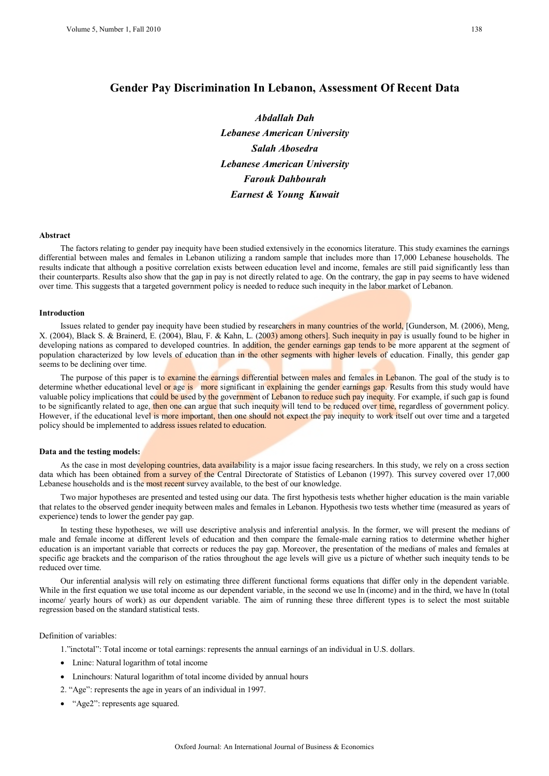# **Gender Pay Discrimination In Lebanon, Assessment Of Recent Data**

*Abdallah Dah Lebanese American University Salah Abosedra Lebanese American University Farouk Dahbourah Earnest & Young Kuwait* 

#### **Abstract**

The factors relating to gender pay inequity have been studied extensively in the economics literature. This study examines the earnings differential between males and females in Lebanon utilizing a random sample that includes more than 17,000 Lebanese households. The results indicate that although a positive correlation exists between education level and income, females are still paid significantly less than their counterparts. Results also show that the gap in pay is not directly related to age. On the contrary, the gap in pay seems to have widened over time. This suggests that a targeted government policy is needed to reduce such inequity in the labor market of Lebanon.

#### **Introduction**

Issues related to gender pay inequity have been studied by researchers in many countries of the world, [Gunderson, M. (2006), Meng, X. (2004), Black S. & Brainerd, E. (2004), Blau, F. & Kahn, L. (2003) among others]. Such inequity in pay is usually found to be higher in developing nations as compared to developed countries. In addition, the gender earnings gap tends to be more apparent at the segment of population characterized by low levels of education than in the other segments with higher levels of education. Finally, this gender gap seems to be declining over time.

The purpose of this paper is to examine the earnings differential between males and females in Lebanon. The goal of the study is to determine whether educational level or age is more significant in explaining the gender earnings gap. Results from this study would have valuable policy implications that could be used by the government of Lebanon to reduce such pay inequity. For example, if such gap is found to be significantly related to age, then one can argue that such inequity will tend to be reduced over time, regardless of government policy. However, if the educational level is more important, then one should not expect the pay inequity to work itself out over time and a targeted policy should be implemented to address issues related to education.

#### **Data and the testing models:**

As the case in most developing countries, data availability is a major issue facing researchers. In this study, we rely on a cross section data which has been obtained from a survey of the Central Directorate of Statistics of Lebanon (1997). This survey covered over 17,000 Lebanese households and is the most recent survey available, to the best of our knowledge.

Two major hypotheses are presented and tested using our data. The first hypothesis tests whether higher education is the main variable that relates to the observed gender inequity between males and females in Lebanon. Hypothesis two tests whether time (measured as years of experience) tends to lower the gender pay gap.

In testing these hypotheses, we will use descriptive analysis and inferential analysis. In the former, we will present the medians of male and female income at different levels of education and then compare the female-male earning ratios to determine whether higher education is an important variable that corrects or reduces the pay gap. Moreover, the presentation of the medians of males and females at specific age brackets and the comparison of the ratios throughout the age levels will give us a picture of whether such inequity tends to be reduced over time.

Our inferential analysis will rely on estimating three different functional forms equations that differ only in the dependent variable. While in the first equation we use total income as our dependent variable, in the second we use ln (income) and in the third, we have ln (total income/ yearly hours of work) as our dependent variable. The aim of running these three different types is to select the most suitable regression based on the standard statistical tests.

#### Definition of variables:

1."inctotal": Total income or total earnings: represents the annual earnings of an individual in U.S. dollars.

- Lninc: Natural logarithm of total income
- Lninchours: Natural logarithm of total income divided by annual hours
- 2. "Age": represents the age in years of an individual in 1997.
- "Age2": represents age squared.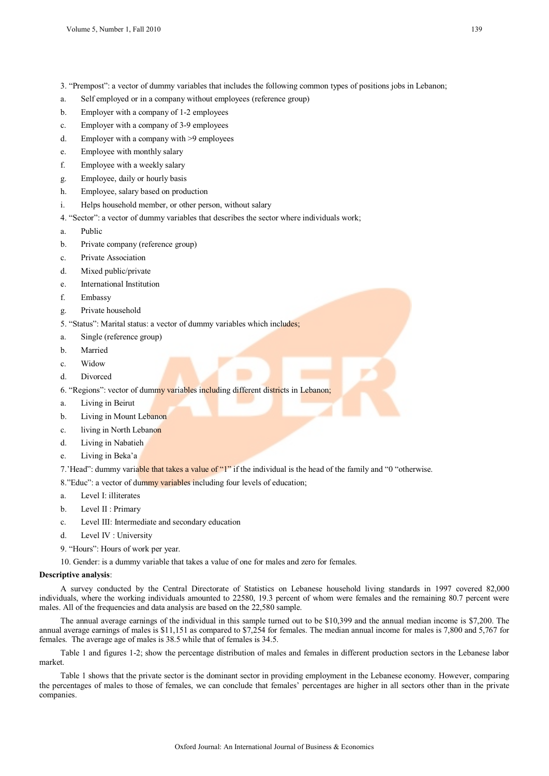- 3. "Prempost": a vector of dummy variables that includes the following common types of positions jobs in Lebanon;
- a. Self employed or in a company without employees (reference group)
- b. Employer with a company of 1-2 employees
- c. Employer with a company of 3-9 employees
- d. Employer with a company with >9 employees
- e. Employee with monthly salary
- f. Employee with a weekly salary
- g. Employee, daily or hourly basis
- h. Employee, salary based on production
- i. Helps household member, or other person, without salary
- 4. "Sector": a vector of dummy variables that describes the sector where individuals work;
- a. Public
- b. Private company (reference group)
- c. Private Association
- d. Mixed public/private
- e. International Institution
- f. Embassy
- g. Private household
- 5. "Status": Marital status: a vector of dummy variables which includes;
- a. Single (reference group)
- b. Married
- c. Widow
- d. Divorced
- 6. "Regions": vector of dummy variables including different districts in Lebanon;
- a. Living in Beirut
- b. Living in Mount Lebanon
- c. living in North Lebanon
- d. Living in Nabatieh
- e. Living in Beka'a

7.'Head": dummy variable that takes a value of "1" if the individual is the head of the family and "0 "otherwise.

- 8."Educ": a vector of dummy variables including four levels of education;
- a. Level I: illiterates
- b. Level II : Primary
- c. Level III: Intermediate and secondary education
- d. Level IV : University
- 9. "Hours": Hours of work per year.
- 10. Gender: is a dummy variable that takes a value of one for males and zero for females.

#### **Descriptive analysis**:

A survey conducted by the Central Directorate of Statistics on Lebanese household living standards in 1997 covered 82,000 individuals, where the working individuals amounted to 22580, 19.3 percent of whom were females and the remaining 80.7 percent were males. All of the frequencies and data analysis are based on the 22,580 sample.

The annual average earnings of the individual in this sample turned out to be \$10,399 and the annual median income is \$7,200. The annual average earnings of males is \$11,151 as compared to \$7,254 for females. The median annual income for males is 7,800 and 5,767 for females. The average age of males is 38.5 while that of females is 34.5.

Table 1 and figures 1-2; show the percentage distribution of males and females in different production sectors in the Lebanese labor market.

Table 1 shows that the private sector is the dominant sector in providing employment in the Lebanese economy. However, comparing the percentages of males to those of females, we can conclude that females' percentages are higher in all sectors other than in the private companies.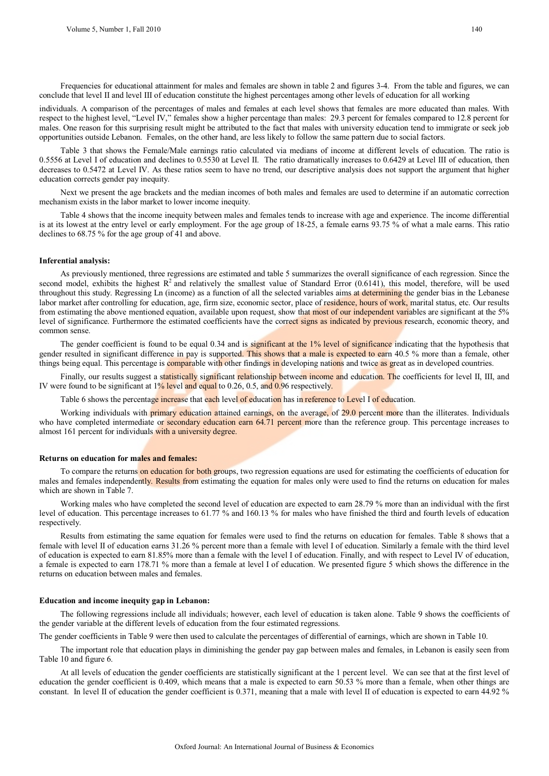Frequencies for educational attainment for males and females are shown in table 2 and figures 3-4. From the table and figures, we can conclude that level II and level III of education constitute the highest percentages among other levels of education for all working

individuals. A comparison of the percentages of males and females at each level shows that females are more educated than males. With respect to the highest level, "Level IV," females show a higher percentage than males: 29.3 percent for females compared to 12.8 percent for males. One reason for this surprising result might be attributed to the fact that males with university education tend to immigrate or seek job opportunities outside Lebanon. Females, on the other hand, are less likely to follow the same pattern due to social factors.

Table 3 that shows the Female/Male earnings ratio calculated via medians of income at different levels of education. The ratio is 0.5556 at Level I of education and declines to 0.5530 at Level II. The ratio dramatically increases to 0.6429 at Level III of education, then decreases to 0.5472 at Level IV. As these ratios seem to have no trend, our descriptive analysis does not support the argument that higher education corrects gender pay inequity.

Next we present the age brackets and the median incomes of both males and females are used to determine if an automatic correction mechanism exists in the labor market to lower income inequity.

Table 4 shows that the income inequity between males and females tends to increase with age and experience. The income differential is at its lowest at the entry level or early employment. For the age group of 18-25, a female earns 93.75 % of what a male earns. This ratio declines to 68.75 % for the age group of 41 and above.

#### **Inferential analysis:**

As previously mentioned, three regressions are estimated and table 5 summarizes the overall significance of each regression. Since the second model, exhibits the highest  $R^2$  and relatively the smallest value of Standard Error (0.6141), this model, therefore, will be used throughout this study. Regressing Ln (income) as a function of all the selected variables aims at determining the gender bias in the Lebanese labor market after controlling for education, age, firm size, economic sector, place of residence, hours of work, marital status, etc. Our results from estimating the above mentioned equation, available upon request, show that most of our independent variables are significant at the 5% level of significance. Furthermore the estimated coefficients have the correct signs as indicated by previous research, economic theory, and common sense.

The gender coefficient is found to be equal 0.34 and is significant at the 1% level of significance indicating that the hypothesis that gender resulted in significant difference in pay is supported. This shows that a male is expected to earn 40.5 % more than a female, other things being equal. This percentage is comparable with other findings in developing nations and twice as great as in developed countries.

Finally, our results suggest a statistically significant relationship between income and education. The coefficients for level II, III, and IV were found to be significant at  $1\%$  level and equal to 0.26, 0.5, and 0.96 respectively.

Table 6 shows the percentage increase that each level of education has in reference to Level I of education.

Working individuals with **primary education attained earnings, on** the average, of 29.0 percent more than the illiterates. Individuals who have completed intermediate or secondary education earn 64.71 percent more than the reference group. This percentage increases to almost 161 percent for individuals with a university degree.

#### **Returns on education for males and females:**

To compare the returns on education for both groups, two regression equations are used for estimating the coefficients of education for males and females independently. Results from estimating the equation for males only were used to find the returns on education for males which are shown in Table 7.

Working males who have completed the second level of education are expected to earn 28.79 % more than an individual with the first level of education. This percentage increases to 61.77 % and 160.13 % for males who have finished the third and fourth levels of education respectively.

Results from estimating the same equation for females were used to find the returns on education for females. Table 8 shows that a female with level II of education earns 31.26 % percent more than a female with level I of education. Similarly a female with the third level of education is expected to earn 81.85% more than a female with the level I of education. Finally, and with respect to Level IV of education, a female is expected to earn 178.71 % more than a female at level I of education. We presented figure 5 which shows the difference in the returns on education between males and females.

#### **Education and income inequity gap in Lebanon:**

The following regressions include all individuals; however, each level of education is taken alone. Table 9 shows the coefficients of the gender variable at the different levels of education from the four estimated regressions.

The gender coefficients in Table 9 were then used to calculate the percentages of differential of earnings, which are shown in Table 10.

The important role that education plays in diminishing the gender pay gap between males and females, in Lebanon is easily seen from Table 10 and figure 6.

At all levels of education the gender coefficients are statistically significant at the 1 percent level. We can see that at the first level of education the gender coefficient is 0.409, which means that a male is expected to earn 50.53 % more than a female, when other things are constant. In level II of education the gender coefficient is 0.371, meaning that a male with level II of education is expected to earn 44.92 %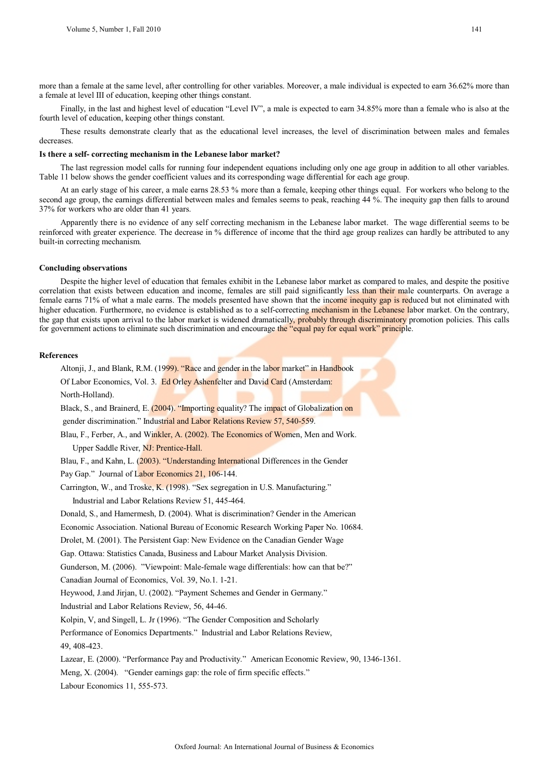more than a female at the same level, after controlling for other variables. Moreover, a male individual is expected to earn 36.62% more than a female at level III of education, keeping other things constant.

Finally, in the last and highest level of education "Level IV", a male is expected to earn 34.85% more than a female who is also at the fourth level of education, keeping other things constant.

These results demonstrate clearly that as the educational level increases, the level of discrimination between males and females decreases.

#### **Is there a self- correcting mechanism in the Lebanese labor market?**

The last regression model calls for running four independent equations including only one age group in addition to all other variables. Table 11 below shows the gender coefficient values and its corresponding wage differential for each age group.

At an early stage of his career, a male earns 28.53 % more than a female, keeping other things equal. For workers who belong to the second age group, the earnings differential between males and females seems to peak, reaching 44 %. The inequity gap then falls to around 37% for workers who are older than 41 years.

Apparently there is no evidence of any self correcting mechanism in the Lebanese labor market. The wage differential seems to be reinforced with greater experience. The decrease in % difference of income that the third age group realizes can hardly be attributed to any built-in correcting mechanism.

#### **Concluding observations**

Despite the higher level of education that females exhibit in the Lebanese labor market as compared to males, and despite the positive correlation that exists between education and income, females are still paid significantly less than their male counterparts. On average a female earns 71% of what a male earns. The models presented have shown that the income inequity gap is reduced but not eliminated with higher education. Furthermore, no evidence is established as to a self-correcting mechanism in the Lebanese labor market. On the contrary, the gap that exists upon arrival to the labor market is widened dramatically, probably through discriminatory promotion policies. This calls for government actions to eliminate such discrimination and encourage the "equal pay for equal work" principle.

#### **References**

Altonji, J., and Blank, R.M. (1999). "Race and gender in the labor market" in Handbook Of Labor Economics, Vol. 3. Ed Orley Ashenfelter and David Card (Amsterdam:

North-Holland).

Black, S., and Brainerd, E. (2004). "Importing equality? The impact of Globalization on

gender discrimination." Industrial and Labor Relations Review 57, 540-559.

Blau, F., Ferber, A., and Winkler, A. (2002). The Economics of Women, Men and Work.

Upper Saddle River, NJ: Prentice-Hall.

Blau, F., and Kahn, L. (2003). "Understanding International Differences in the Gender

Pay Gap." Journal of Labor Economics 21, 106-144.

Carrington, W., and Troske, K. (1998). "Sex segregation in U.S. Manufacturing."

Industrial and Labor Relations Review 51, 445-464.

Donald, S., and Hamermesh, D. (2004). What is discrimination? Gender in the American

Economic Association. National Bureau of Economic Research Working Paper No. 10684.

Drolet, M. (2001). The Persistent Gap: New Evidence on the Canadian Gender Wage

Gap. Ottawa: Statistics Canada, Business and Labour Market Analysis Division.

Gunderson, M. (2006). "Viewpoint: Male-female wage differentials: how can that be?"

Canadian Journal of Economics, Vol. 39, No.1. 1-21.

Heywood, J.and Jirjan, U. (2002). "Payment Schemes and Gender in Germany."

Industrial and Labor Relations Review, 56, 44-46.

Kolpin, V, and Singell, L. Jr (1996). "The Gender Composition and Scholarly

Performance of Eonomics Departments." Industrial and Labor Relations Review,

49, 408-423.

Lazear, E. (2000). "Performance Pay and Productivity." American Economic Review, 90, 1346-1361.

Meng, X. (2004). "Gender earnings gap: the role of firm specific effects."

Labour Economics 11, 555-573.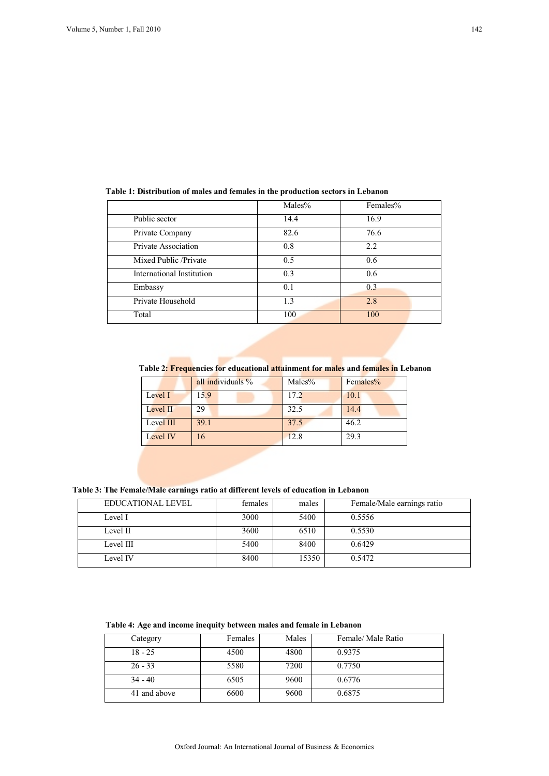|                           | Males% | Females% |
|---------------------------|--------|----------|
| Public sector             | 14.4   | 16.9     |
| Private Company           | 82.6   | 76.6     |
| Private Association       | 0.8    | 2.2      |
| Mixed Public /Private     | 0.5    | 0.6      |
| International Institution | 0.3    | 0.6      |
| Embassy                   | 0.1    | 0.3      |
| Private Household         | 1.3    | 2.8      |
| Total                     | 100    | 100      |

# **Table 1: Distribution of males and females in the production sectors in Lebanon**

**Table 2: Frequencies for educational attainment for males and females in Lebanon**

|             | all individuals $\%$ | Males% | Females% |
|-------------|----------------------|--------|----------|
| Level I     | 15.9                 | 17.2   | 10.1     |
| Level $\Pi$ | 29                   | 32.5   | 14.4     |
| Level III   | 39.1                 | 37.5   | 46.2     |
| Level IV    |                      | 12.8   | 29.3     |

# **Table 3: The Female/Male earnings ratio at different levels of education in Lebanon**

| EDUCATIONAL LEVEL | females | males | Female/Male earnings ratio |
|-------------------|---------|-------|----------------------------|
| Level I           | 3000    | 5400  | 0.5556                     |
| Level II          | 3600    | 6510  | 0.5530                     |
| Level III         | 5400    | 8400  | 0.6429                     |
| Level IV          | 8400    | 15350 | 0.5472                     |

# **Table 4: Age and income inequity between males and female in Lebanon**

| Category     | Females | Males | Female/Male Ratio |  |
|--------------|---------|-------|-------------------|--|
| $18 - 25$    | 4500    | 4800  | 0.9375            |  |
| $26 - 33$    | 5580    | 7200  | 0.7750            |  |
| $34 - 40$    | 6505    | 9600  | 0.6776            |  |
| 41 and above | 6600    | 9600  | 0.6875            |  |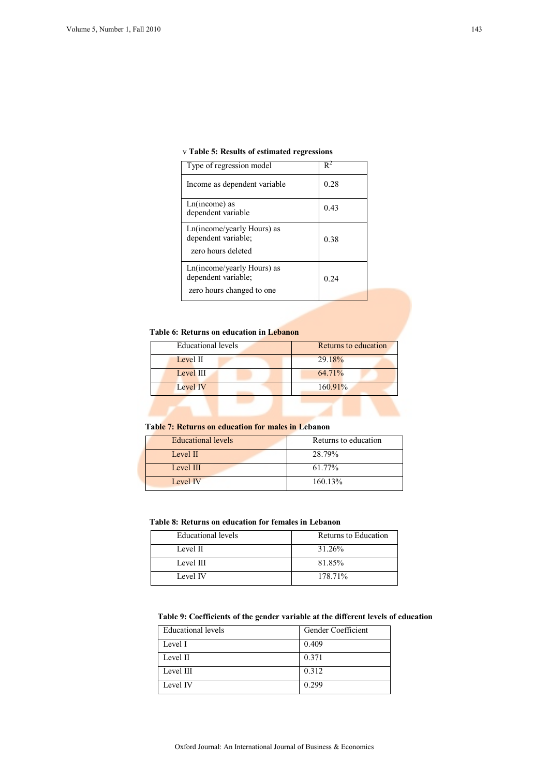## v **Table 5: Results of estimated regressions**

| Type of regression model                                                       | $\mathsf{R}^2$ |
|--------------------------------------------------------------------------------|----------------|
| Income as dependent variable                                                   | 0.28           |
| $Ln(income)$ as<br>dependent variable                                          | 0.43           |
| Ln(income/yearly Hours) as<br>dependent variable;<br>zero hours deleted        | 0.38           |
| Ln(income/yearly Hours) as<br>dependent variable;<br>zero hours changed to one | 0.24           |
|                                                                                |                |

# **Table 6: Returns on education in Lebanon**

| Educational levels | Returns to education |
|--------------------|----------------------|
| Level II           | 29.18%               |
| Level III          | 64.71%               |
| Level IV           | 160.91%              |
|                    |                      |

## **Table 7: Returns on education for males in Lebanon**

| <b>Educational levels</b> | Returns to education |
|---------------------------|----------------------|
| Level II                  | 28.79%               |
| Level III                 | 61.77%               |
| Level IV                  | 160.13%              |

### **Table 8: Returns on education for females in Lebanon**

| Educational levels | Returns to Education |
|--------------------|----------------------|
| Level II           | 31.26%               |
| Level III          | 81.85%               |
| Level IV           | 178.71%              |

## **Table 9: Coefficients of the gender variable at the different levels of education**

| Educational levels | Gender Coefficient |
|--------------------|--------------------|
| Level I            | 0.409              |
| Level II           | 0.371              |
| Level III          | 0.312              |
| Level IV           | 0.299              |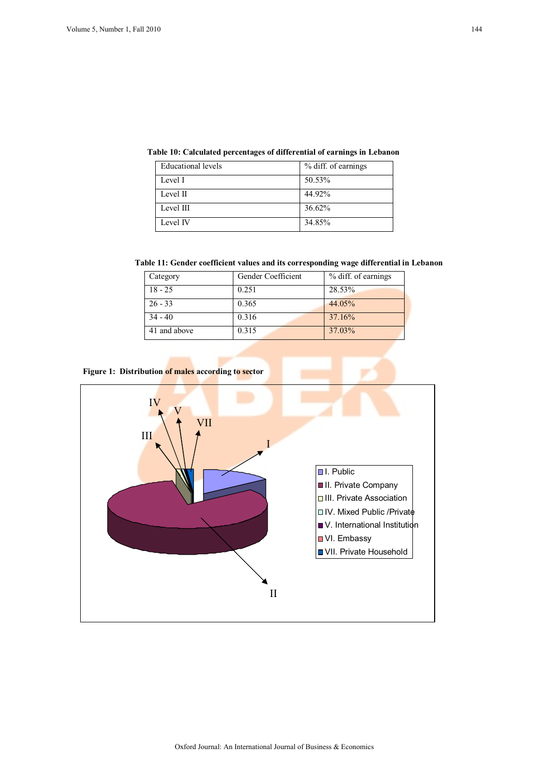| Educational levels | % diff. of earnings |
|--------------------|---------------------|
| Level I            | 50.53%              |
| Level II           | 44.92%              |
| Level III          | 36.62%              |
| Level IV           | 34.85%              |

## **Table 10: Calculated percentages of differential of earnings in Lebanon**

 **Table 11: Gender coefficient values and its corresponding wage differential in Lebanon** 

| Category     | Gender Coefficient | % diff. of earnings |
|--------------|--------------------|---------------------|
| $18 - 25$    | 0.251              | 28.53%              |
| $26 - 33$    | 0.365              | 44.05%              |
| $34 - 40$    | 0.316              | 37.16%              |
| 41 and above | 0.315              | 37.03%              |

**Figure 1: Distribution of males according to sector** 

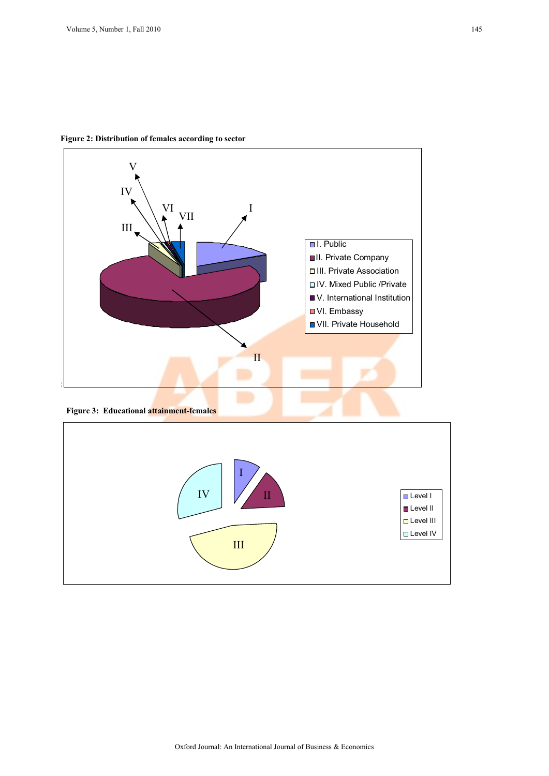

**Figure 2: Distribution of females according to sector** 

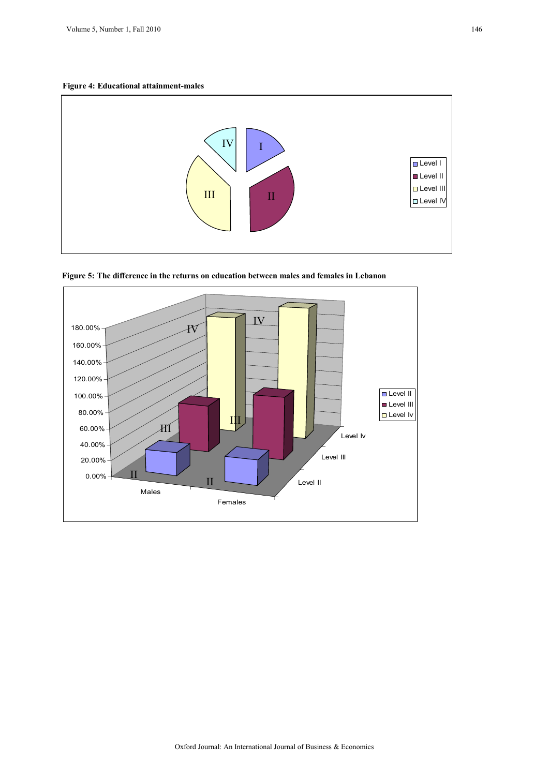**Figure 4: Educational attainment-males** 





**Figure 5: The difference in the returns on education between males and females in Lebanon**